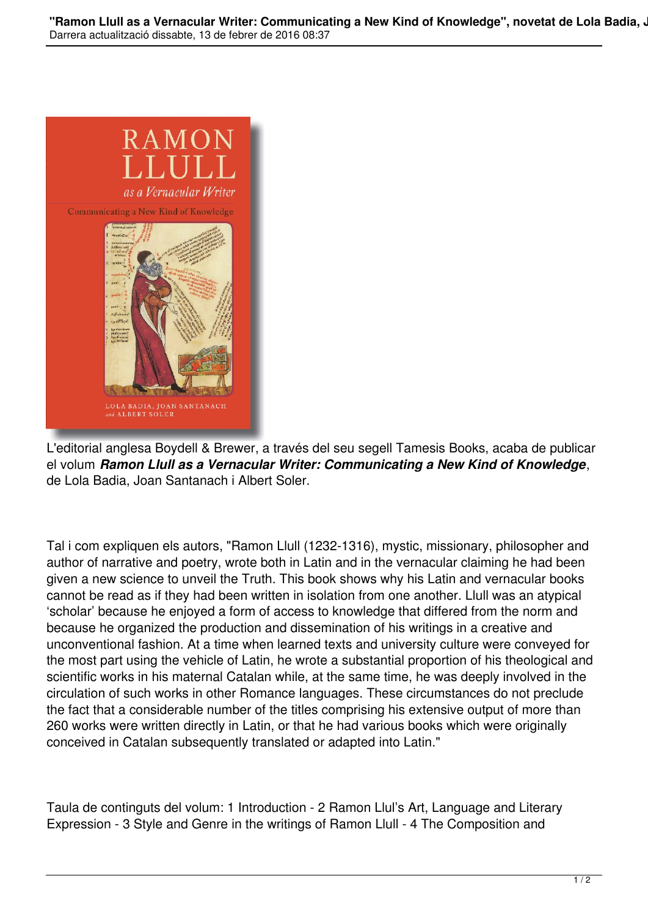

L'editorial anglesa Boydell & Brewer, a través del seu segell Tamesis Books, acaba de publicar el volum *Ramon Llull as a Vernacular Writer: Communicating a New Kind of Knowledge*, de Lola Badia, Joan Santanach i Albert Soler.

Tal i com expliquen els autors, "Ramon Llull (1232-1316), mystic, missionary, philosopher and author of narrative and poetry, wrote both in Latin and in the vernacular claiming he had been given a new science to unveil the Truth. This book shows why his Latin and vernacular books cannot be read as if they had been written in isolation from one another. Llull was an atypical 'scholar' because he enjoyed a form of access to knowledge that differed from the norm and because he organized the production and dissemination of his writings in a creative and unconventional fashion. At a time when learned texts and university culture were conveyed for the most part using the vehicle of Latin, he wrote a substantial proportion of his theological and scientific works in his maternal Catalan while, at the same time, he was deeply involved in the circulation of such works in other Romance languages. These circumstances do not preclude the fact that a considerable number of the titles comprising his extensive output of more than 260 works were written directly in Latin, or that he had various books which were originally conceived in Catalan subsequently translated or adapted into Latin."

Taula de continguts del volum: 1 Introduction - 2 Ramon Llul's Art, Language and Literary Expression - 3 Style and Genre in the writings of Ramon Llull - 4 The Composition and